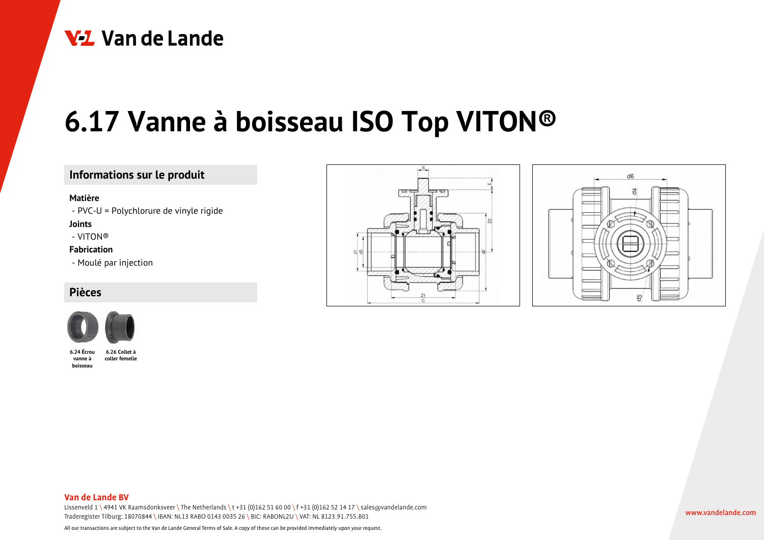

# **6.17 Vanne à boisseau ISO Top VITON®**

# **Informations sur le produit**

#### **Matière**

- PVC-U = Polychlorure de vinyle rigide

**Joints**

- VITON®

### **Fabrication**

- Moulé par injection

# **Pièces**



**6.24 Écrou vanne à boisseau 6.26 Collet à coller femelle**





#### **Van de Lande BV**

Lissenveld 1 \ 4941 VK Raamsdonksveer \ The Netherlands \t +31 (0)162 51 60 00 \f +31 (0)162 52 14 17 \ sales@vandelande.com Traderegister Tilburg: 18070844 \ IBAN: NL13 RABO 0143 0035 26 \ BIC: RABONL2U \ VAT: NL 8123.91.755.B01

All our transactions are subject to the Van de Lande General Terms of Sale. A copy of these can be provided immediately upon your request.